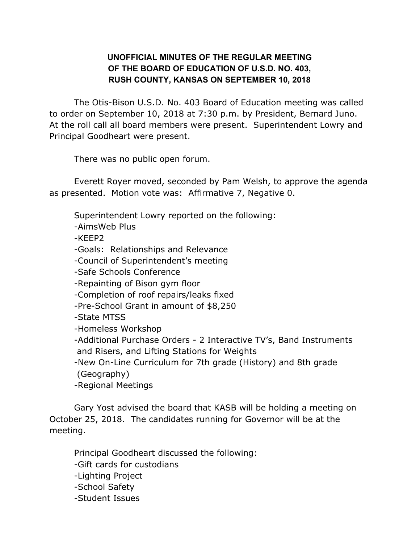## **UNOFFICIAL MINUTES OF THE REGULAR MEETING OF THE BOARD OF EDUCATION OF U.S.D. NO. 403, RUSH COUNTY, KANSAS ON SEPTEMBER 10, 2018**

The Otis-Bison U.S.D. No. 403 Board of Education meeting was called to order on September 10, 2018 at 7:30 p.m. by President, Bernard Juno. At the roll call all board members were present. Superintendent Lowry and Principal Goodheart were present.

There was no public open forum.

Everett Royer moved, seconded by Pam Welsh, to approve the agenda as presented. Motion vote was: Affirmative 7, Negative 0.

Superintendent Lowry reported on the following:

-AimsWeb Plus

-KEEP2

-Goals: Relationships and Relevance

-Council of Superintendent's meeting

-Safe Schools Conference

-Repainting of Bison gym floor

-Completion of roof repairs/leaks fixed

-Pre-School Grant in amount of \$8,250

-State MTSS

-Homeless Workshop

-Additional Purchase Orders - 2 Interactive TV's, Band Instruments and Risers, and Lifting Stations for Weights

-New On-Line Curriculum for 7th grade (History) and 8th grade (Geography)

-Regional Meetings

Gary Yost advised the board that KASB will be holding a meeting on October 25, 2018. The candidates running for Governor will be at the meeting.

Principal Goodheart discussed the following:

-Gift cards for custodians

-Lighting Project

-School Safety

-Student Issues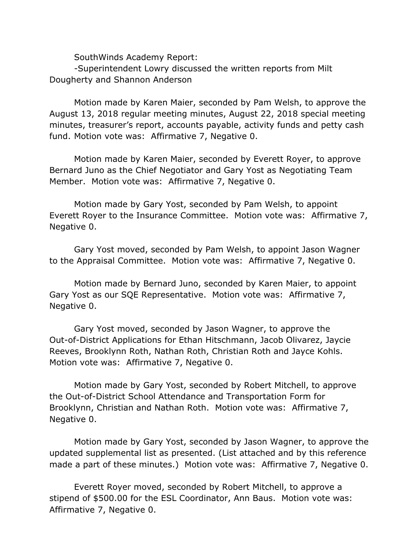SouthWinds Academy Report:

-Superintendent Lowry discussed the written reports from Milt Dougherty and Shannon Anderson

Motion made by Karen Maier, seconded by Pam Welsh, to approve the August 13, 2018 regular meeting minutes, August 22, 2018 special meeting minutes, treasurer's report, accounts payable, activity funds and petty cash fund. Motion vote was: Affirmative 7, Negative 0.

Motion made by Karen Maier, seconded by Everett Royer, to approve Bernard Juno as the Chief Negotiator and Gary Yost as Negotiating Team Member. Motion vote was: Affirmative 7, Negative 0.

Motion made by Gary Yost, seconded by Pam Welsh, to appoint Everett Royer to the Insurance Committee. Motion vote was: Affirmative 7, Negative 0.

Gary Yost moved, seconded by Pam Welsh, to appoint Jason Wagner to the Appraisal Committee. Motion vote was: Affirmative 7, Negative 0.

Motion made by Bernard Juno, seconded by Karen Maier, to appoint Gary Yost as our SQE Representative. Motion vote was: Affirmative 7, Negative 0.

Gary Yost moved, seconded by Jason Wagner, to approve the Out-of-District Applications for Ethan Hitschmann, Jacob Olivarez, Jaycie Reeves, Brooklynn Roth, Nathan Roth, Christian Roth and Jayce Kohls. Motion vote was: Affirmative 7, Negative 0.

Motion made by Gary Yost, seconded by Robert Mitchell, to approve the Out-of-District School Attendance and Transportation Form for Brooklynn, Christian and Nathan Roth. Motion vote was: Affirmative 7, Negative 0.

Motion made by Gary Yost, seconded by Jason Wagner, to approve the updated supplemental list as presented. (List attached and by this reference made a part of these minutes.) Motion vote was: Affirmative 7, Negative 0.

Everett Royer moved, seconded by Robert Mitchell, to approve a stipend of \$500.00 for the ESL Coordinator, Ann Baus. Motion vote was: Affirmative 7, Negative 0.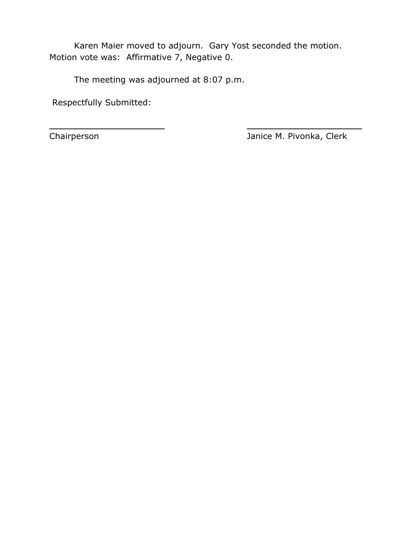Karen Maier moved to adjourn. Gary Yost seconded the motion. Motion vote was: Affirmative 7, Negative 0.

\_\_\_\_\_\_\_\_\_\_\_\_\_\_\_\_\_\_\_\_\_\_ \_\_\_\_\_\_\_\_\_\_\_\_\_\_\_\_\_\_\_\_\_\_

The meeting was adjourned at 8:07 p.m.

Respectfully Submitted:

Chairperson Janice M. Pivonka, Clerk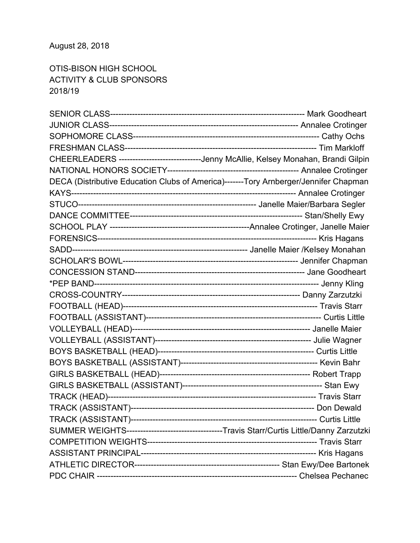## August 28, 2018

OTIS-BISON HIGH SCHOOL ACTIVITY & CLUB SPONSORS 2018/19

| CHEERLEADERS -----------------------------Jenny McAllie, Kelsey Monahan, Brandi Gilpin      |  |
|---------------------------------------------------------------------------------------------|--|
|                                                                                             |  |
| DECA (Distributive Education Clubs of America)-------Tory Arnberger/Jennifer Chapman        |  |
|                                                                                             |  |
|                                                                                             |  |
|                                                                                             |  |
|                                                                                             |  |
|                                                                                             |  |
|                                                                                             |  |
|                                                                                             |  |
|                                                                                             |  |
|                                                                                             |  |
|                                                                                             |  |
|                                                                                             |  |
|                                                                                             |  |
|                                                                                             |  |
|                                                                                             |  |
|                                                                                             |  |
|                                                                                             |  |
|                                                                                             |  |
|                                                                                             |  |
|                                                                                             |  |
|                                                                                             |  |
|                                                                                             |  |
| SUMMER WEIGHTS-----------------------------------Travis Starr/Curtis Little/Danny Zarzutzki |  |
|                                                                                             |  |
|                                                                                             |  |
|                                                                                             |  |
|                                                                                             |  |